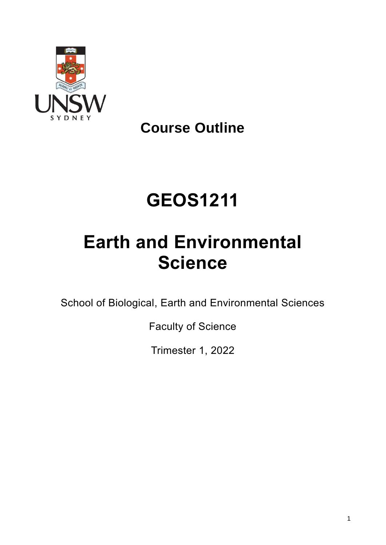

**Course Outline**

# **GEOS1211**

# **Earth and Environmental Science**

School of Biological, Earth and Environmental Sciences

Faculty of Science

Trimester 1, 2022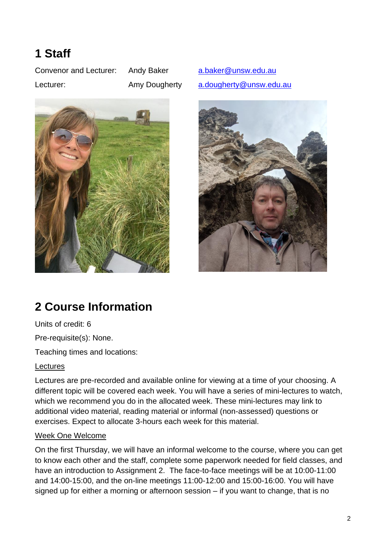## **1 Staff**

Convenor and Lecturer: Andy Baker [a.baker@unsw.edu.au](mailto:a.baker@unsw.edu.au)



Lecturer: Amy Dougherty [a.dougherty@unsw.edu.au](mailto:a.dougherty@unsw.edu.au)



## **2 Course Information**

Units of credit: 6

Pre-requisite(s): None.

Teaching times and locations:

#### Lectures

Lectures are pre-recorded and available online for viewing at a time of your choosing. A different topic will be covered each week. You will have a series of mini-lectures to watch, which we recommend you do in the allocated week. These mini-lectures may link to additional video material, reading material or informal (non-assessed) questions or exercises. Expect to allocate 3-hours each week for this material.

#### Week One Welcome

On the first Thursday, we will have an informal welcome to the course, where you can get to know each other and the staff, complete some paperwork needed for field classes, and have an introduction to Assignment 2. The face-to-face meetings will be at 10:00-11:00 and 14:00-15:00, and the on-line meetings 11:00-12:00 and 15:00-16:00. You will have signed up for either a morning or afternoon session – if you want to change, that is no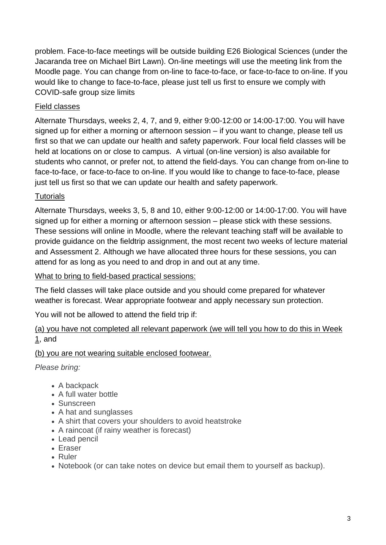problem. Face-to-face meetings will be outside building E26 Biological Sciences (under the Jacaranda tree on Michael Birt Lawn). On-line meetings will use the meeting link from the Moodle page. You can change from on-line to face-to-face, or face-to-face to on-line. If you would like to change to face-to-face, please just tell us first to ensure we comply with COVID-safe group size limits

### Field classes

Alternate Thursdays, weeks 2, 4, 7, and 9, either 9:00-12:00 or 14:00-17:00. You will have signed up for either a morning or afternoon session – if you want to change, please tell us first so that we can update our health and safety paperwork. Four local field classes will be held at locations on or close to campus. A virtual (on-line version) is also available for students who cannot, or prefer not, to attend the field-days. You can change from on-line to face-to-face, or face-to-face to on-line. If you would like to change to face-to-face, please just tell us first so that we can update our health and safety paperwork.

### **Tutorials**

Alternate Thursdays, weeks 3, 5, 8 and 10, either 9:00-12:00 or 14:00-17:00. You will have signed up for either a morning or afternoon session – please stick with these sessions. These sessions will online in Moodle, where the relevant teaching staff will be available to provide guidance on the fieldtrip assignment, the most recent two weeks of lecture material and Assessment 2. Although we have allocated three hours for these sessions, you can attend for as long as you need to and drop in and out at any time.

#### What to bring to field-based practical sessions:

The field classes will take place outside and you should come prepared for whatever weather is forecast. Wear appropriate footwear and apply necessary sun protection.

You will not be allowed to attend the field trip if:

(a) you have not completed all relevant paperwork (we will tell you how to do this in Week 1, and

#### (b) you are not wearing suitable enclosed footwear.

*Please bring:*

- A backpack
- A full water bottle
- Sunscreen
- A hat and sunglasses
- A shirt that covers your shoulders to avoid heatstroke
- A raincoat (if rainy weather is forecast)
- Lead pencil
- Eraser
- Ruler
- Notebook (or can take notes on device but email them to yourself as backup).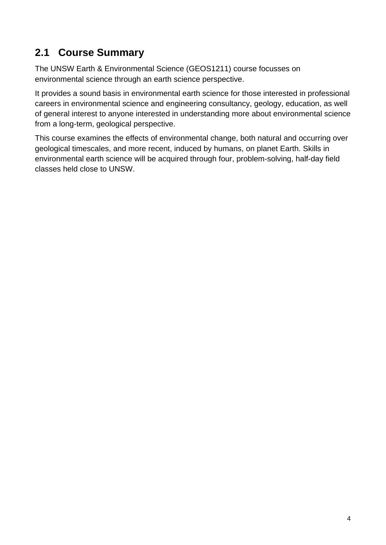### **2.1 Course Summary**

The UNSW Earth & Environmental Science (GEOS1211) course focusses on environmental science through an earth science perspective.

It provides a sound basis in environmental earth science for those interested in professional careers in environmental science and engineering consultancy, geology, education, as well of general interest to anyone interested in understanding more about environmental science from a long-term, geological perspective.

This course examines the effects of environmental change, both natural and occurring over geological timescales, and more recent, induced by humans, on planet Earth. Skills in environmental earth science will be acquired through four, problem-solving, half-day field classes held close to UNSW.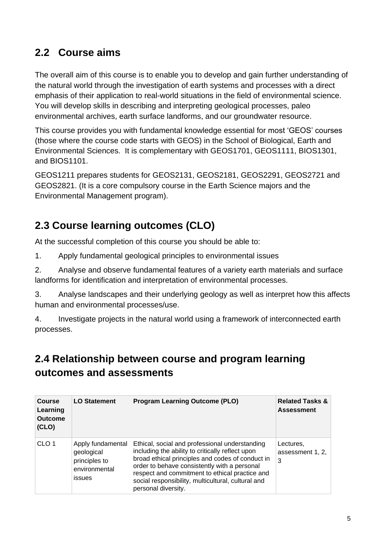### **2.2 Course aims**

The overall aim of this course is to enable you to develop and gain further understanding of the natural world through the investigation of earth systems and processes with a direct emphasis of their application to real-world situations in the field of environmental science. You will develop skills in describing and interpreting geological processes, paleo environmental archives, earth surface landforms, and our groundwater resource.

This course provides you with fundamental knowledge essential for most 'GEOS' courses (those where the course code starts with GEOS) in the School of Biological, Earth and Environmental Sciences. It is complementary with GEOS1701, GEOS1111, BIOS1301, and BIOS1101.

GEOS1211 prepares students for GEOS2131, GEOS2181, GEOS2291, GEOS2721 and GEOS2821. (It is a core compulsory course in the Earth Science majors and the Environmental Management program).

## **2.3 Course learning outcomes (CLO)**

At the successful completion of this course you should be able to:

1. Apply fundamental geological principles to environmental issues

2. Analyse and observe fundamental features of a variety earth materials and surface landforms for identification and interpretation of environmental processes.

3. Analyse landscapes and their underlying geology as well as interpret how this affects human and environmental processes/use.

4. Investigate projects in the natural world using a framework of interconnected earth processes.

### **2.4 Relationship between course and program learning outcomes and assessments**

| Course<br>Learning<br><b>Outcome</b><br>(CLO) | <b>LO Statement</b>                                                         | <b>Program Learning Outcome (PLO)</b>                                                                                                                                                                                                                                                                                                 | <b>Related Tasks &amp;</b><br><b>Assessment</b> |
|-----------------------------------------------|-----------------------------------------------------------------------------|---------------------------------------------------------------------------------------------------------------------------------------------------------------------------------------------------------------------------------------------------------------------------------------------------------------------------------------|-------------------------------------------------|
| CLO <sub>1</sub>                              | Apply fundamental<br>geological<br>principles to<br>environmental<br>issues | Ethical, social and professional understanding<br>including the ability to critically reflect upon<br>broad ethical principles and codes of conduct in<br>order to behave consistently with a personal<br>respect and commitment to ethical practice and<br>social responsibility, multicultural, cultural and<br>personal diversity. | Lectures,<br>assessment 1, 2,<br>3              |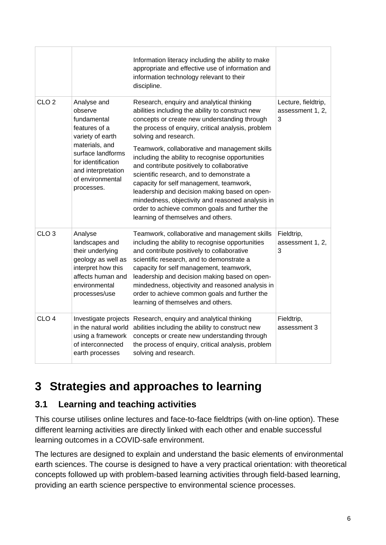|                  |                                                                                                                                                                                                 | Information literacy including the ability to make<br>appropriate and effective use of information and<br>information technology relevant to their<br>discipline.                                                                                                                                                                                                                                                                   |                                              |  |
|------------------|-------------------------------------------------------------------------------------------------------------------------------------------------------------------------------------------------|-------------------------------------------------------------------------------------------------------------------------------------------------------------------------------------------------------------------------------------------------------------------------------------------------------------------------------------------------------------------------------------------------------------------------------------|----------------------------------------------|--|
| CLO <sub>2</sub> | Analyse and<br>observe<br>fundamental<br>features of a<br>variety of earth<br>materials, and<br>surface landforms<br>for identification<br>and interpretation<br>of environmental<br>processes. | Research, enquiry and analytical thinking<br>abilities including the ability to construct new<br>concepts or create new understanding through<br>the process of enquiry, critical analysis, problem<br>solving and research.                                                                                                                                                                                                        | Lecture, fieldtrip,<br>assessment 1, 2,<br>3 |  |
|                  |                                                                                                                                                                                                 | Teamwork, collaborative and management skills<br>including the ability to recognise opportunities<br>and contribute positively to collaborative<br>scientific research, and to demonstrate a<br>capacity for self management, teamwork,<br>leadership and decision making based on open-<br>mindedness, objectivity and reasoned analysis in<br>order to achieve common goals and further the<br>learning of themselves and others. |                                              |  |
| CLO <sub>3</sub> | Analyse<br>landscapes and<br>their underlying<br>geology as well as<br>interpret how this<br>affects human and<br>environmental<br>processes/use                                                | Teamwork, collaborative and management skills<br>including the ability to recognise opportunities<br>and contribute positively to collaborative<br>scientific research, and to demonstrate a<br>capacity for self management, teamwork,<br>leadership and decision making based on open-<br>mindedness, objectivity and reasoned analysis in<br>order to achieve common goals and further the<br>learning of themselves and others. | Fieldtrip,<br>assessment 1, 2,<br>3          |  |
| CLO <sub>4</sub> | in the natural world<br>using a framework<br>of interconnected<br>earth processes                                                                                                               | Investigate projects Research, enquiry and analytical thinking<br>abilities including the ability to construct new<br>concepts or create new understanding through<br>the process of enquiry, critical analysis, problem<br>solving and research.                                                                                                                                                                                   | Fieldtrip,<br>assessment 3                   |  |

## **3 Strategies and approaches to learning**

### **3.1 Learning and teaching activities**

This course utilises online lectures and face-to-face fieldtrips (with on-line option). These different learning activities are directly linked with each other and enable successful learning outcomes in a COVID-safe environment.

The lectures are designed to explain and understand the basic elements of environmental earth sciences. The course is designed to have a very practical orientation: with theoretical concepts followed up with problem-based learning activities through field-based learning, providing an earth science perspective to environmental science processes.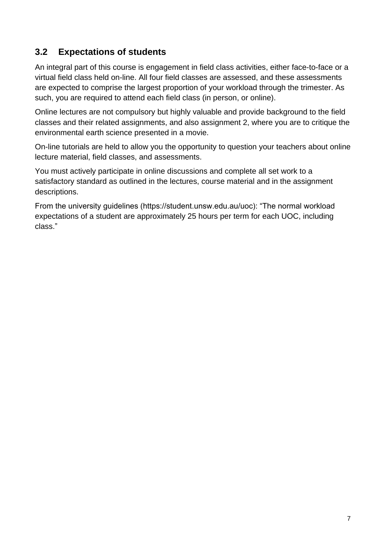### **3.2 Expectations of students**

An integral part of this course is engagement in field class activities, either face-to-face or a virtual field class held on-line. All four field classes are assessed, and these assessments are expected to comprise the largest proportion of your workload through the trimester. As such, you are required to attend each field class (in person, or online).

Online lectures are not compulsory but highly valuable and provide background to the field classes and their related assignments, and also assignment 2, where you are to critique the environmental earth science presented in a movie.

On-line tutorials are held to allow you the opportunity to question your teachers about online lecture material, field classes, and assessments.

You must actively participate in online discussions and complete all set work to a satisfactory standard as outlined in the lectures, course material and in the assignment descriptions.

From the university guidelines (https://student.unsw.edu.au/uoc): "The normal workload expectations of a student are approximately 25 hours per term for each UOC, including class."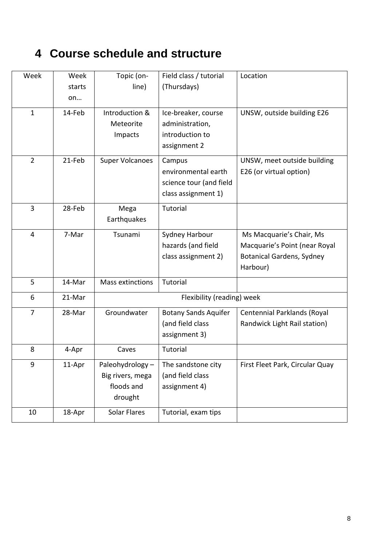## **4 Course schedule and structure**

| Week           | Week   | Topic (on-                 | Field class / tutorial      | Location                         |
|----------------|--------|----------------------------|-----------------------------|----------------------------------|
|                | starts | line)                      | (Thursdays)                 |                                  |
|                | on     |                            |                             |                                  |
| $\mathbf{1}$   | 14-Feb | Introduction &             | Ice-breaker, course         | UNSW, outside building E26       |
|                |        | Meteorite                  | administration,             |                                  |
|                |        | Impacts                    | introduction to             |                                  |
|                |        |                            | assignment 2                |                                  |
| $\overline{2}$ | 21-Feb | <b>Super Volcanoes</b>     | Campus                      | UNSW, meet outside building      |
|                |        |                            | environmental earth         | E26 (or virtual option)          |
|                |        |                            | science tour (and field     |                                  |
|                |        |                            | class assignment 1)         |                                  |
| $\overline{3}$ | 28-Feb | Mega                       | Tutorial                    |                                  |
|                |        | Earthquakes                |                             |                                  |
| $\overline{4}$ | 7-Mar  | Tsunami                    | Sydney Harbour              | Ms Macquarie's Chair, Ms         |
|                |        |                            | hazards (and field          | Macquarie's Point (near Royal    |
|                |        |                            | class assignment 2)         | <b>Botanical Gardens, Sydney</b> |
|                |        |                            |                             | Harbour)                         |
| 5              | 14-Mar | <b>Mass extinctions</b>    | Tutorial                    |                                  |
| 6              | 21-Mar | Flexibility (reading) week |                             |                                  |
| $\overline{7}$ | 28-Mar | Groundwater                | <b>Botany Sands Aquifer</b> | Centennial Parklands (Royal      |
|                |        |                            | (and field class            | Randwick Light Rail station)     |
|                |        |                            | assignment 3)               |                                  |
| 8              | 4-Apr  | Caves                      | Tutorial                    |                                  |
| 9              | 11-Apr | Paleohydrology-            | The sandstone city          | First Fleet Park, Circular Quay  |
|                |        | Big rivers, mega           | (and field class            |                                  |
|                |        | floods and                 | assignment 4)               |                                  |
|                |        | drought                    |                             |                                  |
| 10             | 18-Apr | Solar Flares               | Tutorial, exam tips         |                                  |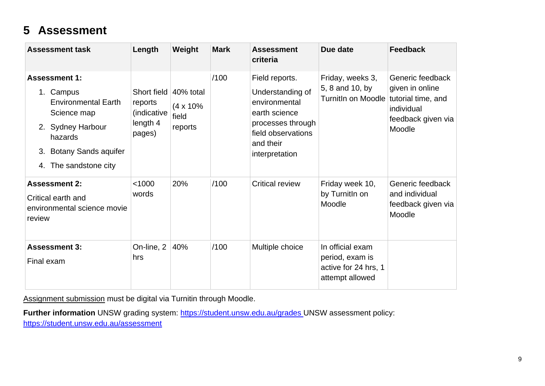## **5 Assessment**

| <b>Assessment task</b>                                                                                                                                                       | Length                                                      | Weight                                              | <b>Mark</b> | <b>Assessment</b><br>criteria                                                                                                                  | Due date                                                                       | <b>Feedback</b>                                                                   |
|------------------------------------------------------------------------------------------------------------------------------------------------------------------------------|-------------------------------------------------------------|-----------------------------------------------------|-------------|------------------------------------------------------------------------------------------------------------------------------------------------|--------------------------------------------------------------------------------|-----------------------------------------------------------------------------------|
| <b>Assessment 1:</b><br>1. Campus<br><b>Environmental Earth</b><br>Science map<br>2. Sydney Harbour<br>hazards<br><b>Botany Sands aquifer</b><br>3.<br>4. The sandstone city | Short field<br>reports<br>(indicative<br>length 4<br>pages) | $40%$ total<br>$(4 \times 10\%$<br>field<br>reports | /100        | Field reports.<br>Understanding of<br>environmental<br>earth science<br>processes through<br>field observations<br>and their<br>interpretation | Friday, weeks 3,<br>5, 8 and 10, by<br>TurnitIn on Moodle tutorial time, and   | Generic feedback<br>given in online<br>individual<br>feedback given via<br>Moodle |
| <b>Assessment 2:</b><br>Critical earth and<br>environmental science movie<br>review                                                                                          | < 1000<br>words                                             | 20%                                                 | /100        | <b>Critical review</b>                                                                                                                         | Friday week 10,<br>by Turnitln on<br>Moodle                                    | Generic feedback<br>and individual<br>feedback given via<br>Moodle                |
| <b>Assessment 3:</b><br>Final exam                                                                                                                                           | On-line, 2<br>hrs                                           | 40%                                                 | /100        | Multiple choice                                                                                                                                | In official exam<br>period, exam is<br>active for 24 hrs, 1<br>attempt allowed |                                                                                   |

Assignment submission must be digital via Turnitin through Moodle.

Further information UNSW grading system:<https://student.unsw.edu.au/grades>\_UNSW assessment policy: <https://student.unsw.edu.au/assessment>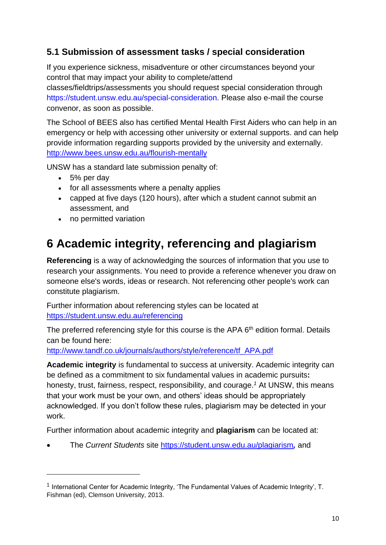### **5.1 Submission of assessment tasks / special consideration**

If you experience sickness, misadventure or other circumstances beyond your control that may impact your ability to complete/attend

classes/fieldtrips/assessments you should request special consideration through https://student.unsw.edu.au/special-consideration. Please also e-mail the course convenor, as soon as possible.

The School of BEES also has certified Mental Health First Aiders who can help in an emergency or help with accessing other university or external supports. and can help provide information regarding supports provided by the university and externally. <http://www.bees.unsw.edu.au/flourish-mentally>

UNSW has a standard late submission penalty of:

- 5% per day
- for all assessments where a penalty applies
- capped at five days (120 hours), after which a student cannot submit an assessment, and
- no permitted variation

## **6 Academic integrity, referencing and plagiarism**

**Referencing** is a way of acknowledging the sources of information that you use to research your assignments. You need to provide a reference whenever you draw on someone else's words, ideas or research. Not referencing other people's work can constitute plagiarism.

Further information about referencing styles can be located at <https://student.unsw.edu.au/referencing>

The preferred referencing style for this course is the APA 6<sup>th</sup> edition formal. Details can be found here:

[http://www.tandf.co.uk/journals/authors/style/reference/tf\\_APA.pdf](http://www.tandf.co.uk/journals/authors/style/reference/tf_APA.pdf)

**Academic integrity** is fundamental to success at university. Academic integrity can be defined as a commitment to six fundamental values in academic pursuits**:** honesty, trust, fairness, respect, responsibility, and courage.*<sup>1</sup>* At UNSW, this means that your work must be your own, and others' ideas should be appropriately acknowledged. If you don't follow these rules, plagiarism may be detected in your work.

Further information about academic integrity and **plagiarism** can be located at:

• The *Current Students* site <https://student.unsw.edu.au/plagiarism>*,* and

<sup>&</sup>lt;sup>1</sup> International Center for Academic Integrity, 'The Fundamental Values of Academic Integrity', T. Fishman (ed), Clemson University, 2013.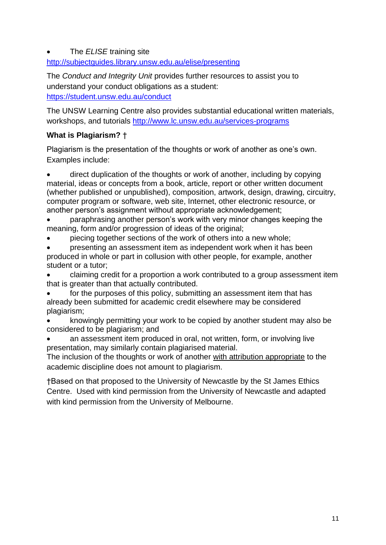#### • The *ELISE* training site

<http://subjectguides.library.unsw.edu.au/elise/presenting>

The *Conduct and Integrity Unit* provides further resources to assist you to understand your conduct obligations as a student: <https://student.unsw.edu.au/conduct>

The UNSW Learning Centre also provides substantial educational written materials, workshops, and tutorials<http://www.lc.unsw.edu.au/services-programs>

#### **What is Plagiarism?** †

Plagiarism is the presentation of the thoughts or work of another as one's own. Examples include:

• direct duplication of the thoughts or work of another, including by copying material, ideas or concepts from a book, article, report or other written document (whether published or unpublished), composition, artwork, design, drawing, circuitry, computer program or software, web site, Internet, other electronic resource, or another person's assignment without appropriate acknowledgement;

- paraphrasing another person's work with very minor changes keeping the meaning, form and/or progression of ideas of the original;
- piecing together sections of the work of others into a new whole;

• presenting an assessment item as independent work when it has been produced in whole or part in collusion with other people, for example, another student or a tutor;

• claiming credit for a proportion a work contributed to a group assessment item that is greater than that actually contributed.

for the purposes of this policy, submitting an assessment item that has already been submitted for academic credit elsewhere may be considered plagiarism;

• knowingly permitting your work to be copied by another student may also be considered to be plagiarism; and

an assessment item produced in oral, not written, form, or involving live presentation, may similarly contain plagiarised material.

The inclusion of the thoughts or work of another with attribution appropriate to the academic discipline does not amount to plagiarism.

†Based on that proposed to the University of Newcastle by the St James Ethics Centre. Used with kind permission from the University of Newcastle and adapted with kind permission from the University of Melbourne.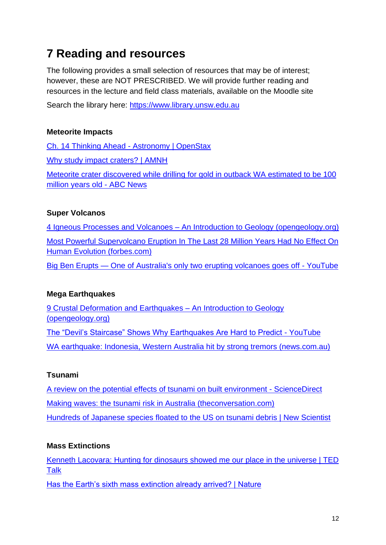## **7 Reading and resources**

The following provides a small selection of resources that may be of interest; however, these are NOT PRESCRIBED. We will provide further reading and resources in the lecture and field class materials, available on the Moodle site

Search the library here: [https://www.library.unsw.edu.au](https://www.library.unsw.edu.au/)

#### **Meteorite Impacts**

[Ch. 14 Thinking Ahead -](https://openstax.org/books/astronomy/pages/14-thinking-ahead) Astronomy | OpenStax [Why study impact craters? | AMNH](https://www.amnh.org/exhibitions/permanent/meteorites/meteorite-impacts/earth-impacts/why-study-impact-craters)

[Meteorite crater discovered while drilling for gold in outback WA estimated to be 100](https://www.abc.net.au/news/2020-09-02/new-meteor-crater-discovered-in-wa-100-million-years-old/12620970)  [million years old -](https://www.abc.net.au/news/2020-09-02/new-meteor-crater-discovered-in-wa-100-million-years-old/12620970) ABC News

#### **Super Volcanos**

4 Igneous Processes and Volcanoes – [An Introduction to Geology \(opengeology.org\)](https://opengeology.org/textbook/4-igneous-processes-and-volcanoes/) [Most Powerful Supervolcano Eruption In The Last 28 Million Years Had No Effect On](https://www.forbes.com/sites/davidbressan/2020/02/26/most-powerful-supervolcano-eruption-in-the-last-28-million-years-had-no-effect-on-human-evolution/?sh=6c25d76f4675)  [Human Evolution \(forbes.com\)](https://www.forbes.com/sites/davidbressan/2020/02/26/most-powerful-supervolcano-eruption-in-the-last-28-million-years-had-no-effect-on-human-evolution/?sh=6c25d76f4675)

Big Ben Erupts — [One of Australia's only two erupting volcanoes goes off -](https://www.youtube.com/watch?v=4wr7sQ_V3j8) YouTube

#### **Mega Earthquakes**

[9 Crustal Deformation and Earthquakes –](https://opengeology.org/textbook/9-crustal-deformation-and-earthquakes/) An Introduction to Geology [\(opengeology.org\)](https://opengeology.org/textbook/9-crustal-deformation-and-earthquakes/) [The "Devil's Staircase" Shows Why Earthquakes Are Hard to Predict -](https://www.youtube.com/watch?v=dRRZkj-nBJY) YouTube

[WA earthquake: Indonesia, Western Australia hit by strong tremors \(news.com.au\)](https://www.news.com.au/technology/environment/66-magnitude-earthquake-hits-off-coast-of-wa/news-story/cda8f345f2ca0e6c963314d79805710d)

### **Tsunami**

[A review on the potential effects of tsunami on built environment -](https://www.sciencedirect.com/science/article/pii/S2214785320344667) ScienceDirect [Making waves: the tsunami risk in Australia \(theconversation.com\)](https://theconversation.com/making-waves-the-tsunami-risk-in-australia-60623) [Hundreds of Japanese species floated to the US on tsunami debris | New Scientist](https://www.newscientist.com/article/2148882-hundreds-of-japanese-species-floated-to-the-us-on-tsunami-debris/)

### **Mass Extinctions**

[Kenneth Lacovara: Hunting for dinosaurs showed me our place in the universe | TED](https://www.ted.com/talks/kenneth_lacovara_hunting_for_dinosaurs_showed_me_our_place_in_the_universe?language=en)  [Talk](https://www.ted.com/talks/kenneth_lacovara_hunting_for_dinosaurs_showed_me_our_place_in_the_universe?language=en)

[Has the Earth's sixth mass extinction already arrived? | Nature](https://www.nature.com/articles/nature09678.)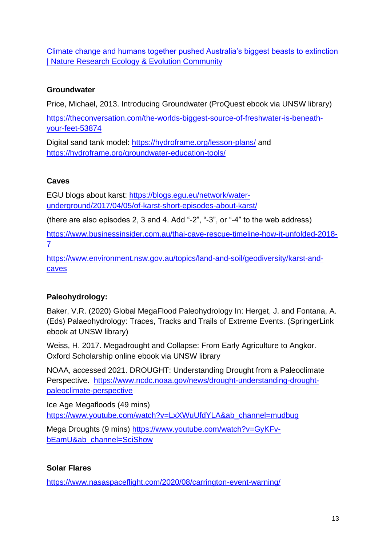[Climate change and humans together pushed Australia's biggest beasts to extinction](https://natureecoevocommunity.nature.com/posts/56632-climate-change-and-humans-together-pushed-australia-s-biggest-beasts-to-extinction)  [| Nature Research Ecology & Evolution Community](https://natureecoevocommunity.nature.com/posts/56632-climate-change-and-humans-together-pushed-australia-s-biggest-beasts-to-extinction)

### **Groundwater**

Price, Michael, 2013. Introducing Groundwater (ProQuest ebook via UNSW library)

[https://theconversation.com/the-worlds-biggest-source-of-freshwater-is-beneath](https://theconversation.com/the-worlds-biggest-source-of-freshwater-is-beneath-your-feet-53874)[your-feet-53874](https://theconversation.com/the-worlds-biggest-source-of-freshwater-is-beneath-your-feet-53874)

Digital sand tank model:<https://hydroframe.org/lesson-plans/> and <https://hydroframe.org/groundwater-education-tools/>

### **Caves**

EGU blogs about karst: [https://blogs.egu.eu/network/water](https://blogs.egu.eu/network/water-underground/2017/04/05/of-karst-short-episodes-about-karst/)[underground/2017/04/05/of-karst-short-episodes-about-karst/](https://blogs.egu.eu/network/water-underground/2017/04/05/of-karst-short-episodes-about-karst/)

(there are also episodes 2, 3 and 4. Add "-2", "-3", or "-4" to the web address)

[https://www.businessinsider.com.au/thai-cave-rescue-timeline-how-it-unfolded-2018-](https://www.businessinsider.com.au/thai-cave-rescue-timeline-how-it-unfolded-2018-7) [7](https://www.businessinsider.com.au/thai-cave-rescue-timeline-how-it-unfolded-2018-7)

[https://www.environment.nsw.gov.au/topics/land-and-soil/geodiversity/karst-and](https://www.environment.nsw.gov.au/topics/land-and-soil/geodiversity/karst-and-caves)[caves](https://www.environment.nsw.gov.au/topics/land-and-soil/geodiversity/karst-and-caves)

### **Paleohydrology:**

Baker, V.R. (2020) Global MegaFlood Paleohydrology In: Herget, J. and Fontana, A. (Eds) Palaeohydrology: Traces, Tracks and Trails of Extreme Events. (SpringerLink ebook at UNSW library)

Weiss, H. 2017. Megadrought and Collapse: From Early Agriculture to Angkor. Oxford Scholarship online ebook via UNSW library

NOAA, accessed 2021. DROUGHT: Understanding Drought from a Paleoclimate Perspective. [https://www.ncdc.noaa.gov/news/drought-understanding-drought](https://www.ncdc.noaa.gov/news/drought-understanding-drought-paleoclimate-perspective)[paleoclimate-perspective](https://www.ncdc.noaa.gov/news/drought-understanding-drought-paleoclimate-perspective)

Ice Age Megafloods (49 mins) [https://www.youtube.com/watch?v=LxXWuUfdYLA&ab\\_channel=mudbug](https://www.youtube.com/watch?v=LxXWuUfdYLA&ab_channel=mudbug)

Mega Droughts (9 mins) [https://www.youtube.com/watch?v=GyKFv](https://www.youtube.com/watch?v=GyKFv-bEamU&ab_channel=SciShow)[bEamU&ab\\_channel=SciShow](https://www.youtube.com/watch?v=GyKFv-bEamU&ab_channel=SciShow)

### **Solar Flares**

<https://www.nasaspaceflight.com/2020/08/carrington-event-warning/>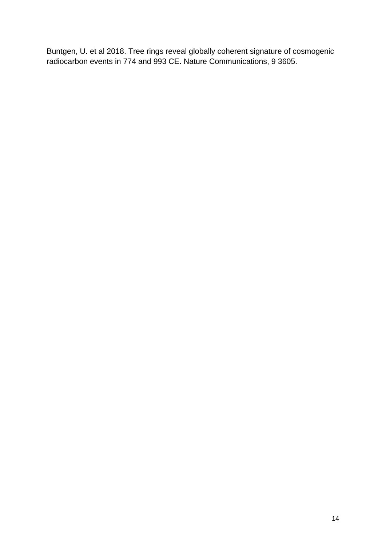Buntgen, U. et al 2018. Tree rings reveal globally coherent signature of cosmogenic radiocarbon events in 774 and 993 CE. Nature Communications, 9 3605.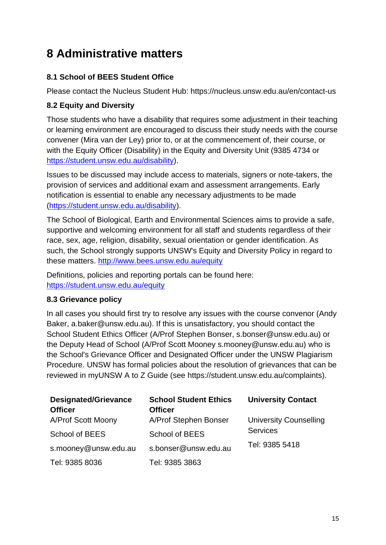## **8 Administrative matters**

### **8.1 School of BEES Student Office**

Please contact the Nucleus Student Hub: https://nucleus.unsw.edu.au/en/contact-us

#### **8.2 Equity and Diversity**

Those students who have a disability that requires some adjustment in their teaching or learning environment are encouraged to discuss their study needs with the course convener (Mira van der Ley) prior to, or at the commencement of, their course, or with the Equity Officer (Disability) in the Equity and Diversity Unit (9385 4734 or [https://student.unsw.edu.au/disability\)](https://student.unsw.edu.au/disability).

Issues to be discussed may include access to materials, signers or note-takers, the provision of services and additional exam and assessment arrangements. Early notification is essential to enable any necessary adjustments to be made [\(https://student.unsw.edu.au/disability\)](https://student.unsw.edu.au/disability).

The School of Biological, Earth and Environmental Sciences aims to provide a safe, supportive and welcoming environment for all staff and students regardless of their race, sex, age, religion, disability, sexual orientation or gender identification. As such, the School strongly supports UNSW's Equity and Diversity Policy in regard to these matters.<http://www.bees.unsw.edu.au/equity>

Definitions, policies and reporting portals can be found here: <https://student.unsw.edu.au/equity>

#### **8.3 Grievance policy**

In all cases you should first try to resolve any issues with the course convenor (Andy Baker, a.baker@unsw.edu.au). If this is unsatisfactory, you should contact the School Student Ethics Officer (A/Prof Stephen Bonser, s.bonser@unsw.edu.au) or the Deputy Head of School (A/Prof Scott Mooney s.mooney@unsw.edu.au) who is the School's Grievance Officer and Designated Officer under the UNSW Plagiarism Procedure. UNSW has formal policies about the resolution of grievances that can be reviewed in myUNSW A to Z Guide (see https://student.unsw.edu.au/complaints).

| <b>Designated/Grievance</b><br><b>Officer</b> | <b>School Student Ethics</b><br><b>Officer</b> | <b>University Contact</b>                        |  |
|-----------------------------------------------|------------------------------------------------|--------------------------------------------------|--|
| A/Prof Scott Moony                            | A/Prof Stephen Bonser                          | <b>University Counselling</b><br><b>Services</b> |  |
| School of BEES                                | <b>School of BEES</b>                          |                                                  |  |
| s.mooney@unsw.edu.au                          | s.bonser@unsw.edu.au                           | Tel: 9385 5418                                   |  |
| Tel: 9385 8036                                | Tel: 9385 3863                                 |                                                  |  |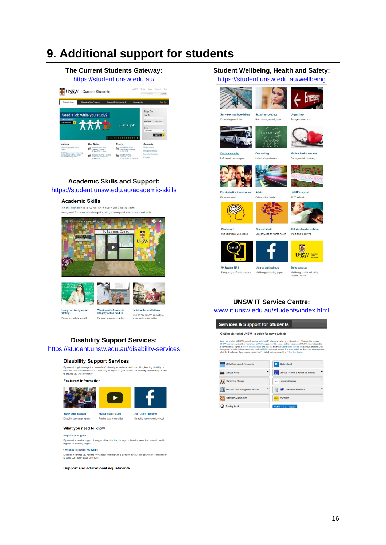### **9. Additional support for students**

### **The Current Students Gateway:**

<https://student.unsw.edu.au/>





### **Academic Skills and Support:**

<https://student.unsw.edu.au/academic-skills>

#### **Academic Skills**

The Learning Centre wants you to make the most of your university studies Here you will find resources and support to help you develop and refine your academic skills





Essay and Assignment<br>Writing Resources to help you with

**Working with Academic**<br>Integrity online module For good academic practice



One-on-one support and advice<br>about assignment writing

#### **Disability Support Services:**

#### <https://student.unsw.edu.au/disability-services>

#### **Disability Support Services**

If you are trying to manage the demands of university as well as a health condition, learning disability or<br>have personal circumstances that are having an impact on your studies, our disability services may be able<br>to prov

#### **Featured information**



Disability services program

#### Mental health video Join us on facebook Raising awareness video Disability services on facebo

#### What you need to know

**Register for support** 

If you want to receive support during your time at university for your disability needs then you will need to<br>register for disability support.

#### Overview of disability services

Discover the things you need to know about studying with a disability at university as well as some answers<br>to some commonly asked questions.

#### **Support and educational adjustments**

#### **Student Wellbeing, Health and Safety:**

<https://student.unsw.edu.au/wellbeing>





Same sex marriage debate Counselling newsletter

#### **Urgent help**

Maracomant accoult rana

Sexual mis conduct

Counselling

lividual app

Emargancy contact



**Campus security** 24/7 security on campus Medical health services Doctor, dentist, pharmacy



**Rod of a fair** 



Know your rights







**Bullying & cyberbullying** Student voice on mental health Put a stop to bullying

图



**UNSW** *Superint* More contacts

Emergency notification system

Wellbeing, health and safety

#### **UNSW IT Service Centre:**

г

Join us on facebook

Wellbeing and safety pages

[www.it.unsw.edu.au/students/index.html](http://www.it.unsw.edu.au/students/index.html)

Services & Support for Students

#### Getting started at UNSW - a guide for new students

As a new student at UNSW you will receive a student ID when you collect your student card. You use this an activity of the state of the state of the state of the state and the state and the state and the state and the stat

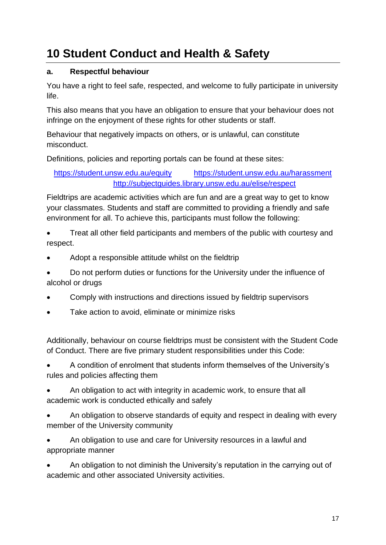## **10 Student Conduct and Health & Safety**

### **a. Respectful behaviour**

You have a right to feel safe, respected, and welcome to fully participate in university life.

This also means that you have an obligation to ensure that your behaviour does not infringe on the enjoyment of these rights for other students or staff.

Behaviour that negatively impacts on others, or is unlawful, can constitute misconduct.

Definitions, policies and reporting portals can be found at these sites:

<https://student.unsw.edu.au/equity> <https://student.unsw.edu.au/harassment> <http://subjectguides.library.unsw.edu.au/elise/respect>

Fieldtrips are academic activities which are fun and are a great way to get to know your classmates. Students and staff are committed to providing a friendly and safe environment for all. To achieve this, participants must follow the following:

• Treat all other field participants and members of the public with courtesy and respect.

• Adopt a responsible attitude whilst on the fieldtrip

• Do not perform duties or functions for the University under the influence of alcohol or drugs

- Comply with instructions and directions issued by fieldtrip supervisors
- Take action to avoid, eliminate or minimize risks

Additionally, behaviour on course fieldtrips must be consistent with the Student Code of Conduct. There are five primary student responsibilities under this Code:

• A condition of enrolment that students inform themselves of the University's rules and policies affecting them

• An obligation to act with integrity in academic work, to ensure that all academic work is conducted ethically and safely

- An obligation to observe standards of equity and respect in dealing with every member of the University community
- An obligation to use and care for University resources in a lawful and appropriate manner

• An obligation to not diminish the University's reputation in the carrying out of academic and other associated University activities.